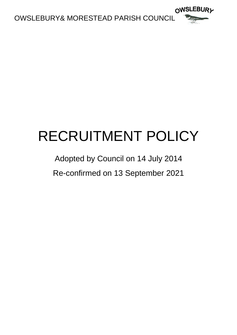

## RECRUITMENT POLICY

## Adopted by Council on 14 July 2014 Re-confirmed on 13 September 2021